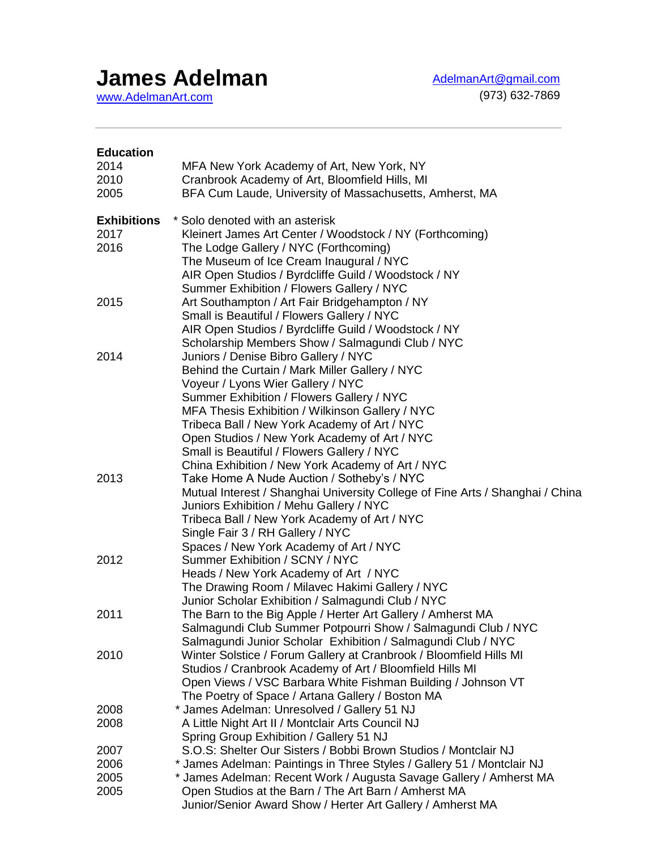## **James Adelman**

[www.AdelmanArt.com](http://www.adelmanart.com/)

[AdelmanArt@gmail.com](mailto:AdelmanArt@gmail.com) (973) 632-7869

| <b>Education</b><br>2014<br>2010<br>2005 | MFA New York Academy of Art, New York, NY<br>Cranbrook Academy of Art, Bloomfield Hills, MI<br>BFA Cum Laude, University of Massachusetts, Amherst, MA                                                                                                                                                                                                                                                                        |
|------------------------------------------|-------------------------------------------------------------------------------------------------------------------------------------------------------------------------------------------------------------------------------------------------------------------------------------------------------------------------------------------------------------------------------------------------------------------------------|
| <b>Exhibitions</b><br>2017<br>2016       | * Solo denoted with an asterisk<br>Kleinert James Art Center / Woodstock / NY (Forthcoming)<br>The Lodge Gallery / NYC (Forthcoming)<br>The Museum of Ice Cream Inaugural / NYC<br>AIR Open Studios / Byrdcliffe Guild / Woodstock / NY<br>Summer Exhibition / Flowers Gallery / NYC                                                                                                                                          |
| 2015                                     | Art Southampton / Art Fair Bridgehampton / NY<br>Small is Beautiful / Flowers Gallery / NYC<br>AIR Open Studios / Byrdcliffe Guild / Woodstock / NY<br>Scholarship Members Show / Salmagundi Club / NYC                                                                                                                                                                                                                       |
| 2014                                     | Juniors / Denise Bibro Gallery / NYC<br>Behind the Curtain / Mark Miller Gallery / NYC<br>Voyeur / Lyons Wier Gallery / NYC<br>Summer Exhibition / Flowers Gallery / NYC<br>MFA Thesis Exhibition / Wilkinson Gallery / NYC<br>Tribeca Ball / New York Academy of Art / NYC<br>Open Studios / New York Academy of Art / NYC<br>Small is Beautiful / Flowers Gallery / NYC<br>China Exhibition / New York Academy of Art / NYC |
| 2013                                     | Take Home A Nude Auction / Sotheby's / NYC<br>Mutual Interest / Shanghai University College of Fine Arts / Shanghai / China<br>Juniors Exhibition / Mehu Gallery / NYC<br>Tribeca Ball / New York Academy of Art / NYC<br>Single Fair 3 / RH Gallery / NYC<br>Spaces / New York Academy of Art / NYC                                                                                                                          |
| 2012                                     | Summer Exhibition / SCNY / NYC<br>Heads / New York Academy of Art / NYC<br>The Drawing Room / Milavec Hakimi Gallery / NYC<br>Junior Scholar Exhibition / Salmagundi Club / NYC                                                                                                                                                                                                                                               |
| 2011                                     | The Barn to the Big Apple / Herter Art Gallery / Amherst MA<br>Salmagundi Club Summer Potpourri Show / Salmagundi Club / NYC<br>Salmagundi Junior Scholar Exhibition / Salmagundi Club / NYC                                                                                                                                                                                                                                  |
| 2010                                     | Winter Solstice / Forum Gallery at Cranbrook / Bloomfield Hills MI<br>Studios / Cranbrook Academy of Art / Bloomfield Hills MI<br>Open Views / VSC Barbara White Fishman Building / Johnson VT<br>The Poetry of Space / Artana Gallery / Boston MA                                                                                                                                                                            |
| 2008<br>2008                             | * James Adelman: Unresolved / Gallery 51 NJ<br>A Little Night Art II / Montclair Arts Council NJ<br>Spring Group Exhibition / Gallery 51 NJ                                                                                                                                                                                                                                                                                   |
| 2007<br>2006<br>2005<br>2005             | S.O.S: Shelter Our Sisters / Bobbi Brown Studios / Montclair NJ<br>* James Adelman: Paintings in Three Styles / Gallery 51 / Montclair NJ<br>* James Adelman: Recent Work / Augusta Savage Gallery / Amherst MA<br>Open Studios at the Barn / The Art Barn / Amherst MA<br>Junior/Senior Award Show / Herter Art Gallery / Amherst MA                                                                                         |